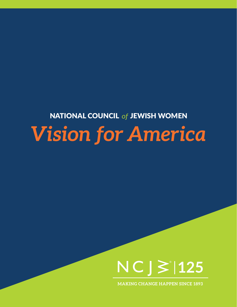## *Vision for America* **NATIONAL COUNCIL of JEWISH WOMEN**



**MAKING CHANGE HAPPEN SINCE 1893**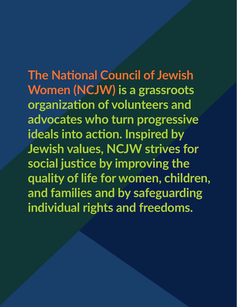**The National Council of Jewish Women (NCJW) is a grassroots organization of volunteers and advocates who turn progressive ideals into action. Inspired by Jewish values, NCJW strives for social justice by improving the quality of life for women, children, and families and by safeguarding individual rights and freedoms.**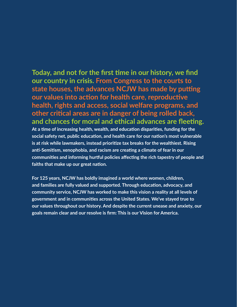**Today, and not for the first time in our history, we find our country in crisis. From Congress to the courts to state houses, the advances NCJW has made by putting our values into action for health care, reproductive health, rights and access, social welfare programs, and other critical areas are in danger of being rolled back, and chances for moral and ethical advances are fleeting.**

**At a time of increasing health, wealth, and education disparities, funding for the social safety net, public education, and health care for our nation's most vulnerable is at risk while lawmakers, instead prioritize tax breaks for the wealthiest. Rising anti-Semitism, xenophobia, and racism are creating a climate of fear in our communities and informing hurtful policies affecting the rich tapestry of people and faiths that make up our great nation.** 

**For 125 years, NCJW has boldly imagined a world where women, children, and families are fully valued and supported. Through education, advocacy, and community service, NCJW has worked to make this vision a reality at all levels of government and in communities across the United States. We've stayed true to our values throughout our history. And despite the current unease and anxiety, our goals remain clear and our resolve is firm: This is our Vision for America.**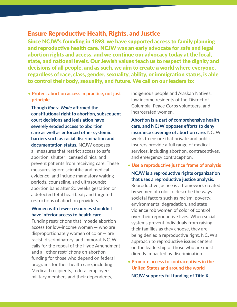#### Ensure Reproductive Health, Rights, and Justice

Since NCJW's founding in 1893, we have supported access to family planning and reproductive health care. NCJW was an early advocate for safe and legal abortion rights and access, and we continue our advocacy today at the local, state, and national levels. Our Jewish values teach us to respect the dignity and decisions of all people, and as such, we aim to create a world where everyone, regardless of race, class, gender, sexuality, ability, or immigration status, is able to control their body, sexuality, and future. We call on our leaders to:

#### • **Protect abortion access in practice, not just principle**

 **Though** *Roe v. Wade* **affirmed the constitutional right to abortion, subsequent court decisions and legislation have severely eroded access to abortion care as well as enforced other systemic barriers such as racial discrimination and documentation status.** NCJW opposes all measures that restrict access to safe abortion, shutter licensed clinics, and prevent patients from receiving care. These measures ignore scientific and medical evidence, and include mandatory waiting periods, counseling, and ultrasounds; abortion bans after 20 weeks gestation or a detected fetal heartbeat; and targeted restrictions of abortion providers.

#### **Women with fewer resources shouldn't have inferior access to health care.**

Funding restrictions that impede abortion access for low-income women — who are disproportionately women of color — are racist, discriminatory, and immoral. NCJW calls for the repeal of the Hyde Amendment and all other restrictions on abortion funding for those who depend on federal programs for their health care, including Medicaid recipients, federal employees, military members and their dependents,

indigenous people and Alaskan Natives, low income residents of the District of Columbia, Peace Corps volunteers, and incarcerated women.

 **Abortion is a part of comprehensive health care, and NCJW opposes efforts to deny insurance coverage of abortion care.** NCJW works to ensure that private and public insurers provide a full range of medical services, including abortion, contraceptives, and emergency contraception.

• **Use a reproductive justice frame of analysis**

#### **NCJW is a reproductive rights organization that uses a reproductive justice analysis.**

Reproductive justice is a framework created by women of color to describe the ways societal factors such as racism, poverty, environmental degradation, and state violence rob women of color of control over their reproductive lives. When social systems prevent individuals from raising their families as they choose, they are being denied a reproductive right. NCJW's approach to reproductive issues centers on the leadership of those who are most directly impacted by discrimination.

• **Promote access to contraceptives in the United States and around the world**

**NCJW supports full funding of Title X,**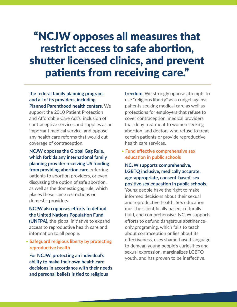## "NCJW opposes all measures that restrict access to safe abortion, shutter licensed clinics, and prevent patients from receiving care."

**the federal family planning program, and all of its providers, including Planned Parenthood health centers.** We support the 2010 Patient Protection and Affordable Care Act's inclusion of contraceptive services and supplies as an important medical service, and oppose any health care reforms that would cut coverage of contraception.

 **NCJW opposes the Global Gag Rule, which forbids any international family planning provider receiving US funding from providing abortion care,** referring patients to abortion providers, or even discussing the option of safe abortion, as well as the domestic gag rule, which places these same restrictions on domestic providers.

#### **NCJW also opposes efforts to defund the United Nations Population Fund**

**(UNFPA),** the global initiative to expand access to reproductive health care and information to all people.

• **Safeguard religious liberty by protecting reproductive health**

 **For NCJW, protecting an individual's ability to make their own health care decisions in accordance with their needs and personal beliefs is tied to religious** 

**freedom.** We strongly oppose attempts to use "religious liberty" as a cudgel against patients seeking medical care as well as protections for employers that refuse to cover contraception, medical providers that deny treatment to women seeking abortion, and doctors who refuse to treat certain patients or provide reproductive health care services.

• **Fund effective comprehensive sex education in public schools**

 **NCJW supports comprehensive, LGBTQ inclusive, medically accurate, age-appropriate, consent-based, sex positive sex education in public schools.**

Young people have the right to make informed decisions about their sexual and reproductive health. Sex education must be scientifically based, culturally fluid, and comprehensive. NCJW supports efforts to defund dangerous abstinenceonly programing, which fails to teach about contraception or lies about its effectiveness, uses shame-based language to demean young people's curiosities and sexual expression, marginalizes LGBTQ youth, and has proven to be ineffective.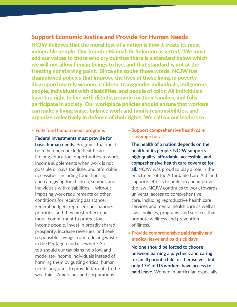#### Support Economic Justice and Provide for Human Needs

NCJW believes that the moral test of a nation is how it treats its most vulnerable people. Our founder Hannah G. Solomon asserted, "We must add our voices to those who cry out that there is a standard below which we will not allow human beings to live, and that standard is not at the freezing nor starving point." Since she spoke those words, NCJW has championed policies that improve the lives of those living in poverty disproportionately women, children, transgender individuals, indigenous people, individuals with disabilities, and people of color. All individuals have the right to live with dignity, provide for their families, and fully participate in society. Our workplace policies should ensure that workers can make a living wage, balance work and family responsibilities, and organize collectively in defense of their rights. We call on our leaders to:

#### • **Fully fund human needs programs**

 **Federal investments must provide for basic human needs.** Programs that must be fully funded include health care, lifelong education, opportunities to work, income supplements when work is not possible or pays too little, and affordable necessities, including food, housing, and caregiving for children, seniors, and individuals with disabilities — without imposing work requirements or other conditions for receiving assistance. Federal budgets represent our nation's priorities, and they must reflect our moral commitment to protect lowincome people, invest in broadly shared prosperity, increase revenues, and seek responsible savings from reducing waste in the Pentagon and elsewhere. So too should our tax plans help low and moderate-income individuals instead of harming them by gutting critical human needs programs to provide tax cuts to the wealthiest Americans and corporations.

• **Support comprehensive health care coverage for all**

 **The health of a nation depends on the health of its people. NCJW supports high quality, affordable, accessible, and comprehensive health care coverage for all.** NCJW was proud to play a role in the enactment of the Affordable Care Act, and supports efforts to build on and improve the law. NCJW continues to work towards universal access to comprehensive care, including reproductive health care services and mental health care as well as laws, policies, programs, and services that promote wellness and prevention of illness.

• **Provide comprehensive paid family and medical leave and paid sick days**

 **No one should be forced to choose between earning a paycheck and caring for an ill parent, child, or themselves, but only 17% of US workers have access to paid leave.** Women in particular, especially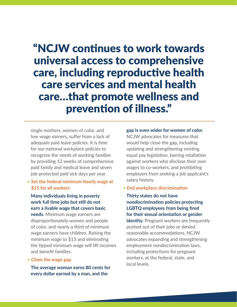"NCJW continues to work towards universal access to comprehensive care, including reproductive health care services and mental health care…that promote wellness and prevention of illness."

single mothers, women of color, and low-wage earners, suffer from a lack of adequate paid leave policies. It is time for our national workplace policies to recognize the needs of working families by providing 12 weeks of comprehensive paid family and medical leave and seven job-protected paid sick days per year.

#### • **Set the federal minimum hourly wage at \$15 for all workers**

 **Many individuals living in poverty work full time jobs but still do not earn a livable wage that covers basic needs.** Minimum wage earners are disproportionately women and people of color, and nearly a third of minimum wage earners have children. Raising the minimum wage to \$15 and eliminating the tipped minimum wage will lift incomes and benefit families.

#### • **Close the wage gap**

 **The average woman earns 80 cents for every dollar earned by a man, and the** 

#### **gap is even wider for women of color.**

NCJW advocates for measures that would help close the gap, including updating and strengthening existing equal pay legislation, barring retaliation against workers who disclose their own wages to co-workers, and prohibiting employers from seeking a job applicant's salary history.

#### • **End workplace discrimination**

 **Thirty states do not have nondiscrimination policies protecting LGBTQ employees from being fired for their sexual orientation or gender** 

*identity.* Pregnant workers are frequently pushed out of their jobs or denied reasonable accommodations. NCJW advocates expanding and strengthening employment nondiscrimination laws, including protections for pregnant workers, at the federal, state, and local levels.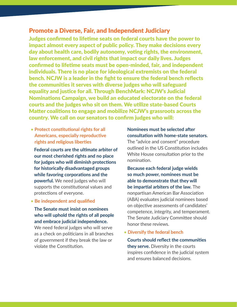#### Promote a Diverse, Fair, and Independent Judiciary

Judges confirmed to lifetime seats on federal courts have the power to impact almost every aspect of public policy. They make decisions every day about health care, bodily autonomy, voting rights, the environment, law enforcement, and civil rights that impact our daily lives. Judges confirmed to lifetime seats must be open-minded, fair, and independent individuals. There is no place for ideological extremists on the federal bench. NCJW is a leader in the fight to ensure the federal bench reflects the communities it serves with diverse judges who will safeguard equality and justice for all. Through BenchMark: NCJW's Judicial Nominations Campaign, we build an educated electorate on the federal courts and the judges who sit on them. We utilize state-based Courts Matter coalitions to engage and mobilize NCJW's grassroots across the country. We call on our senators to confirm judges who will:

• **Protect constitutional rights for all Americans, especially reproductive rights and religious liberties** 

 **Federal courts are the ultimate arbiter of our most cherished rights and no place for judges who will diminish protections for historically disadvantaged groups while favoring corporations and the powerful.** We need judges who will supports the constitutional values and protections of everyone.

• **Be independent and qualified** 

#### **The Senate must insist on nominees who will uphold the rights of all people and embrace judicial independence.**

We need federal judges who will serve as a check on politicians in all branches of government if they break the law or violate the Constitution.

#### **Nominees must be selected after consultation with home-state senators.**

The "advice and consent" procedure outlined in the US Constitution includes White House consultation prior to the nomination.

 **Because each federal judge wields so much power, nominees must be able to demonstrate that they will be impartial arbiters of the law.** The nonpartisan American Bar Association (ABA) evaluates judicial nominees based on objective assessments of candidates' competence, integrity, and temperament. The Senate Judiciary Committee should honor these reviews.

• **Diversify the federal bench**

 **Courts should reflect the communities they serve.** Diversity in the courts inspires confidence in the judicial system and ensures balanced decisions.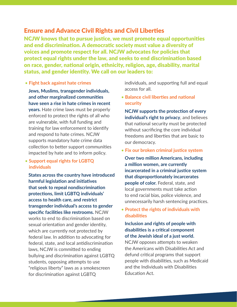#### Ensure and Advance Civil Rights and Civil Liberties

NCJW knows that to pursue justice, we must promote equal opportunities and end discrimination. A democratic society must value a diversity of voices and promote respect for all. NCJW advocates for policies that protect equal rights under the law, and seeks to end discrimination based on race, gender, national origin, ethnicity, religion, age, disability, marital status, and gender identity. We call on our leaders to:

#### • **Fight back against hate crimes**

 **Jews, Muslims, transgender individuals, and other marginalized communities have seen a rise in hate crimes in recent years.** Hate crime laws must be properly enforced to protect the rights of all who are vulnerable, with full funding and training for law enforcement to identify and respond to hate crimes. NCJW supports mandatory hate crime data collection to better support communities impacted by hate and to inform policy.

#### • **Support equal rights for LGBTQ individuals**

 **States across the country have introduced harmful legislation and initiatives that seek to repeal nondiscrimination protections, limit LGBTQ individuals' access to health care, and restrict transgender individual's access to gender specific facilities like restrooms.** NCJW works to end to discrimination based on sexual orientation and gender identity, which are currently not protected by federal law. In addition to advocating for federal, state, and local antidiscrimination laws, NCJW is committed to ending bullying and discrimination against LGBTQ students, opposing attempts to use "religious liberty" laws as a smokescreen for discrimination against LGBTQ

individuals, and supporting full and equal access for all.

• **Balance civil liberties and national security**

 **NCJW supports the protection of every individual's right to privacy**, and believes that national security must be protected without sacrificing the core individual freedoms and liberties that are basic to our democracy.

• **Fix our broken criminal justice system**

 **Over two million Americans, including a million women, are currently incarcerated in a criminal justice system that disproportionately incarcerates people of color.** Federal, state, and local governments must take action to end racial bias, police violence, and unnecessarily harsh sentencing practices.

• **Protect the rights of individuals with disabilities**

#### **Inclusion and rights of people with disabilities is a critical component of the Jewish ideal of a just world.**

NCJW opposes attempts to weaken the Americans with Disabilities Act and defund critical programs that support people with disabilities, such as Medicaid and the Individuals with Disabilities Education Act.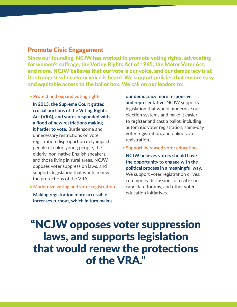#### Promote Civic Engagement

Since our founding, NCJW has worked to promote voting rights, advocating for women's suffrage, the Voting Rights Act of 1965, the Motor Voter Act, and more. NCJW believes that our vote is our voice, and our democracy is at its strongest when every voice is heard. We support policies that ensure easy and equitable access to the ballot box. We call on our leaders to:

• **Protect and expand voting rights**

 **In 2013, the Supreme Court gutted crucial portions of the Voting Rights Act (VRA), and states responded with a flood of new restrictions making it harder to vote.** Burdensome and unnecessary restrictions on voter registration disproportionately impact people of color, young people, the elderly, non-native English speakers, and those living in rural areas. NCJW opposes voter suppression laws, and supports legislation that would renew the protections of the VRA.

• **Modernize voting and voter registration Making registration more accessible increases turnout, which in turn makes** 

**our democracy more responsive and representative.** NCJW supports legislation that would modernize our election systems and make it easier to register and cast a ballot, including automatic voter registration, same-day voter registration, and online voter registration.

• **Support increased voter education**

 **NCJW believes voters should have the opportunity to engage with the political process in a meaningful way.**  We support voter registration drives, community discussions of civil issues, candidate forums, and other voter education initiatives.

## "NCJW opposes voter suppression laws, and supports legislation that would renew the protections of the VRA."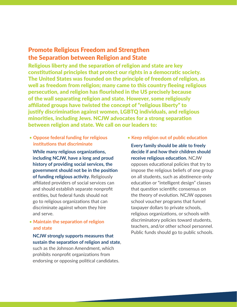### Promote Religious Freedom and Strengthen the Separation between Religion and State

Religious liberty and the separation of religion and state are key constitutional principles that protect our rights in a democratic society. The United States was founded on the principle of freedom of religion, as well as freedom from religion; many came to this country fleeing religious persecution, and religion has flourished in the US precisely because of the wall separating religion and state. However, some religiously affiliated groups have twisted the concept of "religious liberty" to justify discrimination against women, LGBTQ individuals, and religious minorities, including Jews. NCJW advocates for a strong separation between religion and state. We call on our leaders to:

• **Oppose federal funding for religious institutions that discriminate**

 **While many religious organizations, including NCJW, have a long and proud history of providing social services, the government should not be in the position of funding religious activity.** Religiously affiliated providers of social services can and should establish separate nonprofit entities, but federal funds should not go to religious organizations that can discriminate against whom they hire and serve.

• **Maintain the separation of religion and state**

 **NCJW strongly supports measures that sustain the separation of religion and state**, such as the Johnson Amendment, which prohibits nonprofit organizations from endorsing or opposing political candidates.

• **Keep religion out of public education**

 **Every family should be able to freely decide if and how their children should receive religious education.** NCJW opposes educational policies that try to impose the religious beliefs of one group on all students, such as abstinence-only education or "intelligent design" classes that question scientific consensus on the theory of evolution. NCJW opposes school voucher programs that funnel taxpayer dollars to private schools, religious organizations, or schools with discriminatory policies toward students, teachers, and/or other school personnel. Public funds should go to public schools.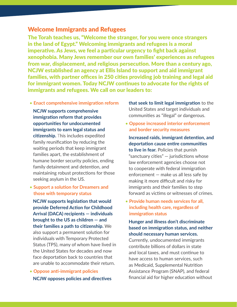#### Welcome Immigrants and Refugees

The Torah teaches us, "Welcome the stranger, for you were once strangers in the land of Egypt." Welcoming immigrants and refugees is a moral imperative. As Jews, we feel a particular urgency to fight back against xenophobia. Many Jews remember our own families' experiences as refugees from war, displacement, and religious persecution. More than a century ago, NCJW established an agency at Ellis Island to support and aid immigrant families, with partner offices in 250 cities providing job training and legal aid for immigrant women. Today NCJW continues to advocate for the rights of immigrants and refugees. We call on our leaders to:

• **Enact comprehensive immigration reform**

 **NCJW supports comprehensive immigration reform that provides opportunities for undocumented immigrants to earn legal status and citizenship.** This includes expedited family reunification by reducing the waiting periods that keep immigrant families apart, the establishment of humane border security policies, ending family detainment and detention, and maintaining robust protections for those seeking asylum in the US.

• **Support a solution for Dreamers and those with temporary status**

 **NCJW supports legislation that would provide Deferred Action for Childhood Arrival (DACA) recipients — individuals brought to the US as children — and their families a path to citizenship.** We also support a permanent solution for individuals with Temporary Protected Status (TPS), many of whom have lived in the United States for decades and now face deportation back to countries that are unable to accommodate their return.

• **Oppose anti-immigrant policies NCJW opposes policies and directives**  **that seek to limit legal immigration** to the United States and target individuals and communities as "illegal" or dangerous.

• **Oppose increased interior enforcement and border security measures**

 **Increased raids, immigrant detention, and deportation cause entire communities to live in fear.** Policies that punish "sanctuary cities"  $-$  jurisdictions whose law enforcement agencies choose not to cooperate with federal immigration enforcement — make us all less safe by making it more difficult and risky for immigrants and their families to step forward as victims or witnesses of crimes.

• **Provide human needs services for all, including health care, regardless of immigration status**

 **Hunger and illness don't discriminate based on immigration status, and neither should necessary human services.**

Currently, undocumented immigrants contribute billions of dollars in state and local taxes, and must continue to have access to human services, such as Medicaid, Supplemental Nutrition Assistance Program (SNAP), and federal financial aid for higher education without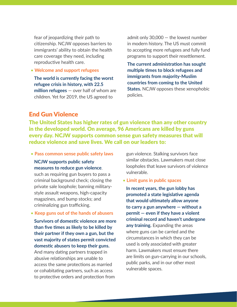fear of jeopardizing their path to citizenship. NCJW opposes barriers to immigrants' ability to obtain the health care coverage they need, including reproductive health care.

• **Welcome and support refugees**

 **The world is currently facing the worst refugee crisis in history, with 22.5 million refugees** — over half of whom are children. Yet for 2019, the US agreed to

admit only 30,000 — the lowest number in modern history. The US must commit to accepting more refugees and fully fund programs to support their resettlement.

 **The current administration has sought multiple times to block refugees and immigrants from majority-Muslim countries from coming to the United States.** NCJW opposes these xenophobic policies.

#### End Gun Violence

The United States has higher rates of gun violence than any other country in the developed world. On average, 96 Americans are killed by guns every day. NCJW supports common sense gun safety measures that will reduce violence and save lives. We call on our leaders to:

• **Pass common sense public safety laws**

 **NCJW supports public safety measures to reduce gun violence**,

such as requiring gun buyers to pass a criminal background check; closing the private sale loophole; banning militarystyle assault weapons, high-capacity magazines, and bump stocks; and criminalizing gun trafficking.

#### • **Keep guns out of the hands of abusers**

 **Survivors of domestic violence are more than five times as likely to be killed by their partner if they own a gun, but the vast majority of states permit convicted domestic abusers to keep their guns.**  And many dating partners trapped in abusive relationships are unable to access the same protections as married or cohabitating partners, such as access to protective orders and protection from

gun violence. Stalking survivors face similar obstacles. Lawmakers must close loopholes that leave survivors of violence vulnerable.

• **Limit guns in public spaces** 

 **In recent years, the gun lobby has promoted a state legislative agenda that would ultimately allow anyone to carry a gun anywhere — without a permit — even if they have a violent criminal record and haven't undergone any training.** Expanding the areas where guns can be carried and the circumstances in which they can be used is only associated with greater harm. Lawmakers must ensure there are limits on gun-carrying in our schools, public parks, and in our other most vulnerable spaces.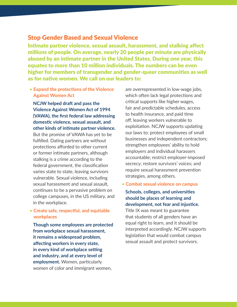#### Stop Gender Based and Sexual Violence

Intimate partner violence, sexual assault, harassment, and stalking affect millions of people. On average, nearly 20 people per minute are physically abused by an intimate partner in the United States. During one year, this equates to more than 10 million individuals. The numbers can be even higher for members of transgender and gender-queer communities as well as for native women. We call on our leaders to:

• **Expand the protections of the Violence Against Women Act** 

 **NCJW helped draft and pass the Violence Against Women Act of 1994 (VAWA), the first federal law addressing domestic violence, sexual assault, and other kinds of intimate partner violence.**

But the promise of VAWA has yet to be fulfilled. Dating partners are without protections afforded to other current or former intimate partners, although stalking is a crime according to the federal government, the classification varies state to state, leaving survivors vulnerable. Sexual violence, including sexual harassment and sexual assault, continues to be a pervasive problem on college campuses, in the US military, and in the workplace.

#### • **Create safe, respectful, and equitable workplaces**

 **Though some employees are protected from workplace sexual harassment, it remains a widespread problem, affecting workers in every state, in every kind of workplace setting and industry, and at every level of employment.** Women, particularly women of color and immigrant women,

are overrepresented in low-wage jobs, which often lack legal protections and critical supports like higher wages, fair and predictable schedules, access to health insurance, and paid time off, leaving workers vulnerable to exploitation. NCJW supports updating our laws to: protect employees of small businesses and independent contractors; strengthen employees' ability to hold employers and individual harassers accountable; restrict employer-imposed secrecy; restore survivors' voices; and require sexual harassment prevention strategies, among others.

• **Combat sexual violence on campus**

#### **Schools, colleges, and universities should be places of learning and development, not fear and injustice.**

Title IX was meant to guarantee that students of all genders have an equal right to learn, and it should be interpreted accordingly. NCJW supports legislation that would combat campus sexual assault and protect survivors.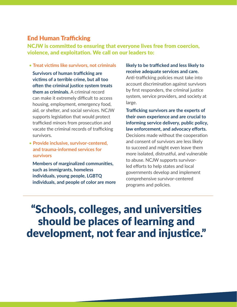#### End Human Trafficking

NCJW is committed to ensuring that everyone lives free from coercion, violence, and exploitation. We call on our leaders to:

• **Treat victims like survivors, not criminals**

 **Survivors of human trafficking are victims of a terrible crime, but all too often the criminal justice system treats them as criminals.** A criminal record can make it extremely difficult to access housing, employment, emergency food, aid, or shelter, and social services. NCJW supports legislation that would protect trafficked minors from prosecution and vacate the criminal records of trafficking survivors.

• **Provide inclusive, survivor-centered, and trauma-informed services for survivors**

 **Members of marginalized communities, such as immigrants, homeless individuals, young people, LGBTQ individuals, and people of color are more** 

#### **likely to be trafficked and less likely to receive adequate services and care.**

Anti-trafficking policies must take into account discrimination against survivors by first responders, the criminal justice system, service providers, and society at large.

 **Trafficking survivors are the experts of their own experience and are crucial to informing service delivery, public policy, law enforcement, and advocacy efforts.**  Decisions made without the cooperation and consent of survivors are less likely to succeed and might even leave them more isolated, distrustful, and vulnerable to abuse. NCJW supports survivorled efforts to help states and local governments develop and implement comprehensive survivor-centered programs and policies.

"Schools, colleges, and universities should be places of learning and development, not fear and injustice."